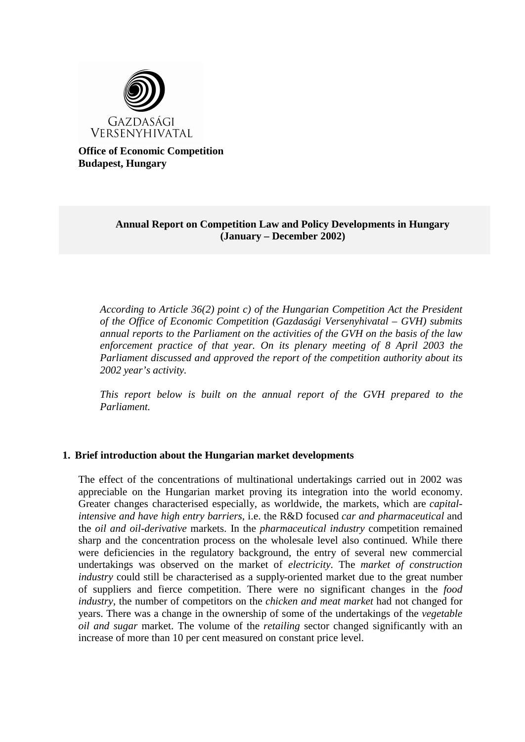

**Office of Economic Competition Budapest, Hungary**

## **Annual Report on Competition Law and Policy Developments in Hungary (January – December 2002)**

*According to Article 36(2) point c) of the Hungarian Competition Act the President of the Office of Economic Competition (Gazdasági Versenyhivatal – GVH) submits annual reports to the Parliament on the activities of the GVH on the basis of the law enforcement practice of that year. On its plenary meeting of 8 April 2003 the Parliament discussed and approved the report of the competition authority about its 2002 year's activity.* 

*This report below is built on the annual report of the GVH prepared to the Parliament.* 

#### **1. Brief introduction about the Hungarian market developments**

The effect of the concentrations of multinational undertakings carried out in 2002 was appreciable on the Hungarian market proving its integration into the world economy. Greater changes characterised especially, as worldwide, the markets, which are *capitalintensive and have high entry barriers*, i.e. the R&D focused *car and pharmaceutical* and the *oil and oil-derivative* markets. In the *pharmaceutical industry* competition remained sharp and the concentration process on the wholesale level also continued. While there were deficiencies in the regulatory background, the entry of several new commercial undertakings was observed on the market of *electricity*. The *market of construction industry* could still be characterised as a supply-oriented market due to the great number of suppliers and fierce competition. There were no significant changes in the *food industry*, the number of competitors on the *chicken and meat market* had not changed for years. There was a change in the ownership of some of the undertakings of the *vegetable oil and sugar* market. The volume of the *retailing* sector changed significantly with an increase of more than 10 per cent measured on constant price level.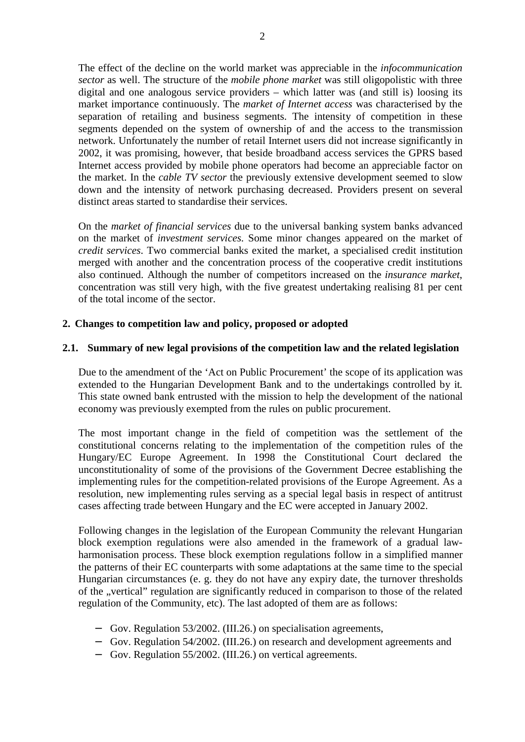The effect of the decline on the world market was appreciable in the *infocommunication sector* as well. The structure of the *mobile phone market* was still oligopolistic with three digital and one analogous service providers – which latter was (and still is) loosing its market importance continuously. The *market of Internet access* was characterised by the separation of retailing and business segments. The intensity of competition in these segments depended on the system of ownership of and the access to the transmission network. Unfortunately the number of retail Internet users did not increase significantly in 2002, it was promising, however, that beside broadband access services the GPRS based Internet access provided by mobile phone operators had become an appreciable factor on the market. In the *cable TV sector* the previously extensive development seemed to slow down and the intensity of network purchasing decreased. Providers present on several distinct areas started to standardise their services.

On the *market of financial services* due to the universal banking system banks advanced on the market of *investment services*. Some minor changes appeared on the market of *credit services*. Two commercial banks exited the market, a specialised credit institution merged with another and the concentration process of the cooperative credit institutions also continued. Although the number of competitors increased on the *insurance market*, concentration was still very high, with the five greatest undertaking realising 81 per cent of the total income of the sector.

## **2. Changes to competition law and policy, proposed or adopted**

#### **2.1. Summary of new legal provisions of the competition law and the related legislation**

Due to the amendment of the 'Act on Public Procurement' the scope of its application was extended to the Hungarian Development Bank and to the undertakings controlled by it. This state owned bank entrusted with the mission to help the development of the national economy was previously exempted from the rules on public procurement.

The most important change in the field of competition was the settlement of the constitutional concerns relating to the implementation of the competition rules of the Hungary/EC Europe Agreement. In 1998 the Constitutional Court declared the unconstitutionality of some of the provisions of the Government Decree establishing the implementing rules for the competition-related provisions of the Europe Agreement. As a resolution, new implementing rules serving as a special legal basis in respect of antitrust cases affecting trade between Hungary and the EC were accepted in January 2002.

Following changes in the legislation of the European Community the relevant Hungarian block exemption regulations were also amended in the framework of a gradual lawharmonisation process. These block exemption regulations follow in a simplified manner the patterns of their EC counterparts with some adaptations at the same time to the special Hungarian circumstances (e. g. they do not have any expiry date, the turnover thresholds of the "vertical" regulation are significantly reduced in comparison to those of the related regulation of the Community, etc). The last adopted of them are as follows:

- − Gov. Regulation 53/2002. (III.26.) on specialisation agreements,
- − Gov. Regulation 54/2002. (III.26.) on research and development agreements and
- − Gov. Regulation 55/2002. (III.26.) on vertical agreements.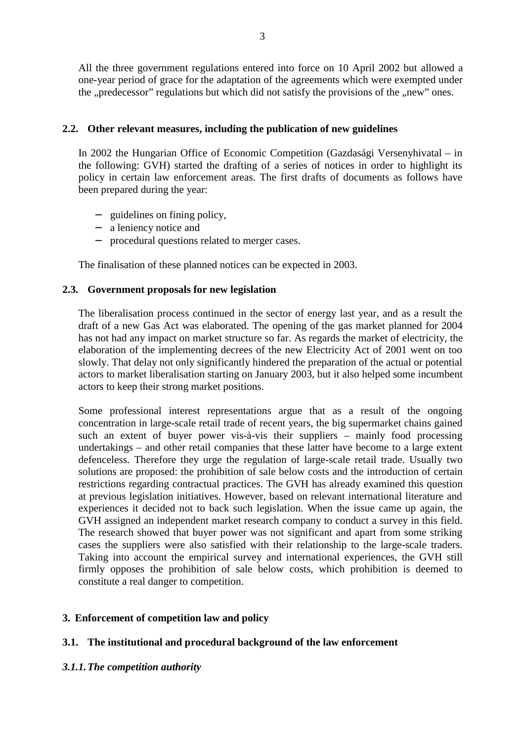All the three government regulations entered into force on 10 April 2002 but allowed a one-year period of grace for the adaptation of the agreements which were exempted under the "predecessor" regulations but which did not satisfy the provisions of the "new" ones.

# **2.2. Other relevant measures, including the publication of new guidelines**

In 2002 the Hungarian Office of Economic Competition (Gazdasági Versenyhivatal – in the following: GVH) started the drafting of a series of notices in order to highlight its policy in certain law enforcement areas. The first drafts of documents as follows have been prepared during the year:

- − guidelines on fining policy,
- − a leniency notice and
- − procedural questions related to merger cases.

The finalisation of these planned notices can be expected in 2003.

#### **2.3. Government proposals for new legislation**

The liberalisation process continued in the sector of energy last year, and as a result the draft of a new Gas Act was elaborated. The opening of the gas market planned for 2004 has not had any impact on market structure so far. As regards the market of electricity, the elaboration of the implementing decrees of the new Electricity Act of 2001 went on too slowly. That delay not only significantly hindered the preparation of the actual or potential actors to market liberalisation starting on January 2003, but it also helped some incumbent actors to keep their strong market positions.

Some professional interest representations argue that as a result of the ongoing concentration in large-scale retail trade of recent years, the big supermarket chains gained such an extent of buyer power vis-à-vis their suppliers – mainly food processing undertakings – and other retail companies that these latter have become to a large extent defenceless. Therefore they urge the regulation of large-scale retail trade. Usually two solutions are proposed: the prohibition of sale below costs and the introduction of certain restrictions regarding contractual practices. The GVH has already examined this question at previous legislation initiatives. However, based on relevant international literature and experiences it decided not to back such legislation. When the issue came up again, the GVH assigned an independent market research company to conduct a survey in this field. The research showed that buyer power was not significant and apart from some striking cases the suppliers were also satisfied with their relationship to the large-scale traders. Taking into account the empirical survey and international experiences, the GVH still firmly opposes the prohibition of sale below costs, which prohibition is deemed to constitute a real danger to competition.

#### **3. Enforcement of competition law and policy**

# **3.1. The institutional and procedural background of the law enforcement**

#### *3.1.1.The competition authority*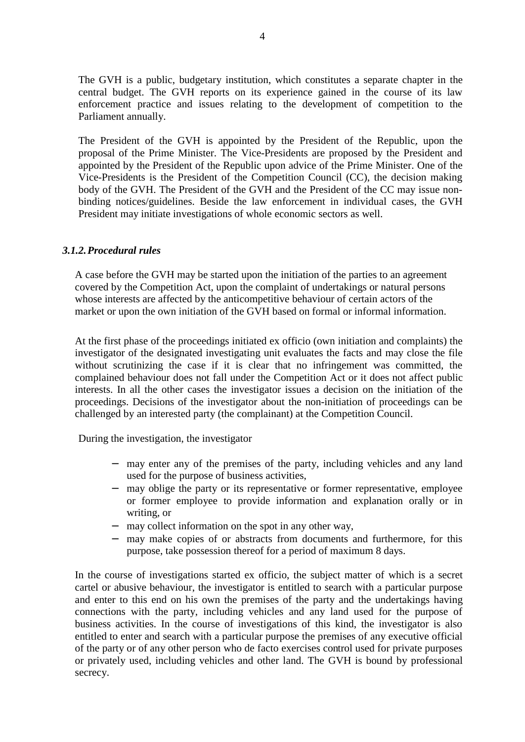The GVH is a public, budgetary institution, which constitutes a separate chapter in the central budget. The GVH reports on its experience gained in the course of its law enforcement practice and issues relating to the development of competition to the Parliament annually.

The President of the GVH is appointed by the President of the Republic, upon the proposal of the Prime Minister. The Vice-Presidents are proposed by the President and appointed by the President of the Republic upon advice of the Prime Minister. One of the Vice-Presidents is the President of the Competition Council (CC), the decision making body of the GVH. The President of the GVH and the President of the CC may issue nonbinding notices/guidelines. Beside the law enforcement in individual cases, the GVH President may initiate investigations of whole economic sectors as well.

#### *3.1.2.Procedural rules*

A case before the GVH may be started upon the initiation of the parties to an agreement covered by the Competition Act, upon the complaint of undertakings or natural persons whose interests are affected by the anticompetitive behaviour of certain actors of the market or upon the own initiation of the GVH based on formal or informal information.

At the first phase of the proceedings initiated ex officio (own initiation and complaints) the investigator of the designated investigating unit evaluates the facts and may close the file without scrutinizing the case if it is clear that no infringement was committed, the complained behaviour does not fall under the Competition Act or it does not affect public interests. In all the other cases the investigator issues a decision on the initiation of the proceedings. Decisions of the investigator about the non-initiation of proceedings can be challenged by an interested party (the complainant) at the Competition Council.

During the investigation, the investigator

- − may enter any of the premises of the party, including vehicles and any land used for the purpose of business activities,
- − may oblige the party or its representative or former representative, employee or former employee to provide information and explanation orally or in writing, or
- − may collect information on the spot in any other way,
- − may make copies of or abstracts from documents and furthermore, for this purpose, take possession thereof for a period of maximum 8 days.

In the course of investigations started ex officio, the subject matter of which is a secret cartel or abusive behaviour, the investigator is entitled to search with a particular purpose and enter to this end on his own the premises of the party and the undertakings having connections with the party, including vehicles and any land used for the purpose of business activities. In the course of investigations of this kind, the investigator is also entitled to enter and search with a particular purpose the premises of any executive official of the party or of any other person who de facto exercises control used for private purposes or privately used, including vehicles and other land. The GVH is bound by professional secrecy.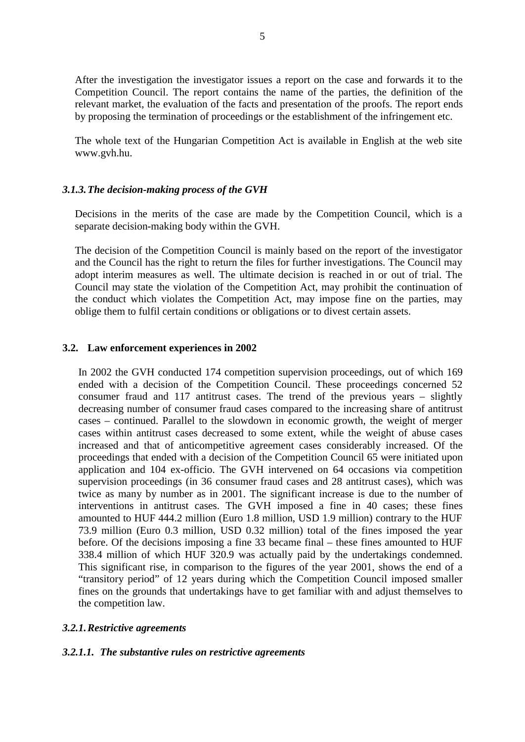After the investigation the investigator issues a report on the case and forwards it to the Competition Council. The report contains the name of the parties, the definition of the relevant market, the evaluation of the facts and presentation of the proofs. The report ends by proposing the termination of proceedings or the establishment of the infringement etc.

The whole text of the Hungarian Competition Act is available in English at the web site www.gvh.hu.

#### *3.1.3.The decision-making process of the GVH*

Decisions in the merits of the case are made by the Competition Council, which is a separate decision-making body within the GVH.

The decision of the Competition Council is mainly based on the report of the investigator and the Council has the right to return the files for further investigations. The Council may adopt interim measures as well. The ultimate decision is reached in or out of trial. The Council may state the violation of the Competition Act, may prohibit the continuation of the conduct which violates the Competition Act, may impose fine on the parties, may oblige them to fulfil certain conditions or obligations or to divest certain assets.

#### **3.2. Law enforcement experiences in 2002**

In 2002 the GVH conducted 174 competition supervision proceedings, out of which 169 ended with a decision of the Competition Council. These proceedings concerned 52 consumer fraud and 117 antitrust cases. The trend of the previous years – slightly decreasing number of consumer fraud cases compared to the increasing share of antitrust cases – continued. Parallel to the slowdown in economic growth, the weight of merger cases within antitrust cases decreased to some extent, while the weight of abuse cases increased and that of anticompetitive agreement cases considerably increased. Of the proceedings that ended with a decision of the Competition Council 65 were initiated upon application and 104 ex-officio. The GVH intervened on 64 occasions via competition supervision proceedings (in 36 consumer fraud cases and 28 antitrust cases), which was twice as many by number as in 2001. The significant increase is due to the number of interventions in antitrust cases. The GVH imposed a fine in 40 cases; these fines amounted to HUF 444.2 million (Euro 1.8 million, USD 1.9 million) contrary to the HUF 73.9 million (Euro 0.3 million, USD 0.32 million) total of the fines imposed the year before. Of the decisions imposing a fine 33 became final – these fines amounted to HUF 338.4 million of which HUF 320.9 was actually paid by the undertakings condemned. This significant rise, in comparison to the figures of the year 2001, shows the end of a "transitory period" of 12 years during which the Competition Council imposed smaller fines on the grounds that undertakings have to get familiar with and adjust themselves to the competition law.

#### *3.2.1.Restrictive agreements*

#### *3.2.1.1. The substantive rules on restrictive agreements*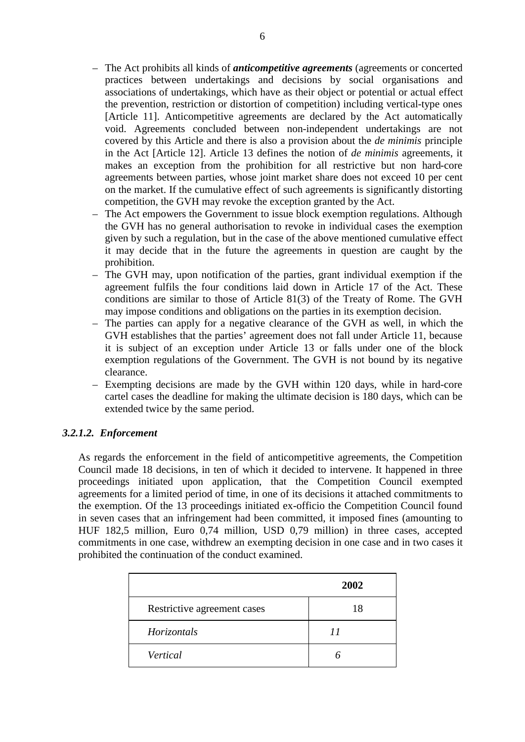- The Act prohibits all kinds of *anticompetitive agreements* (agreements or concerted practices between undertakings and decisions by social organisations and associations of undertakings, which have as their object or potential or actual effect the prevention, restriction or distortion of competition) including vertical-type ones [Article 11]. Anticompetitive agreements are declared by the Act automatically void. Agreements concluded between non-independent undertakings are not covered by this Article and there is also a provision about the *de minimis* principle in the Act [Article 12]. Article 13 defines the notion of *de minimis* agreements, it makes an exception from the prohibition for all restrictive but non hard-core agreements between parties, whose joint market share does not exceed 10 per cent on the market. If the cumulative effect of such agreements is significantly distorting competition, the GVH may revoke the exception granted by the Act.
- The Act empowers the Government to issue block exemption regulations. Although the GVH has no general authorisation to revoke in individual cases the exemption given by such a regulation, but in the case of the above mentioned cumulative effect it may decide that in the future the agreements in question are caught by the prohibition.
- The GVH may, upon notification of the parties, grant individual exemption if the agreement fulfils the four conditions laid down in Article 17 of the Act. These conditions are similar to those of Article 81(3) of the Treaty of Rome. The GVH may impose conditions and obligations on the parties in its exemption decision.
- The parties can apply for a negative clearance of the GVH as well, in which the GVH establishes that the parties' agreement does not fall under Article 11, because it is subject of an exception under Article 13 or falls under one of the block exemption regulations of the Government. The GVH is not bound by its negative clearance.
- Exempting decisions are made by the GVH within 120 days, while in hard-core cartel cases the deadline for making the ultimate decision is 180 days, which can be extended twice by the same period.

# *3.2.1.2. Enforcement*

As regards the enforcement in the field of anticompetitive agreements, the Competition Council made 18 decisions, in ten of which it decided to intervene. It happened in three proceedings initiated upon application, that the Competition Council exempted agreements for a limited period of time, in one of its decisions it attached commitments to the exemption. Of the 13 proceedings initiated ex-officio the Competition Council found in seven cases that an infringement had been committed, it imposed fines (amounting to HUF 182,5 million, Euro 0,74 million, USD 0,79 million) in three cases, accepted commitments in one case, withdrew an exempting decision in one case and in two cases it prohibited the continuation of the conduct examined.

|                             | 2002 |
|-----------------------------|------|
| Restrictive agreement cases | 18   |
| Horizontals                 | 11   |
| Vertical                    |      |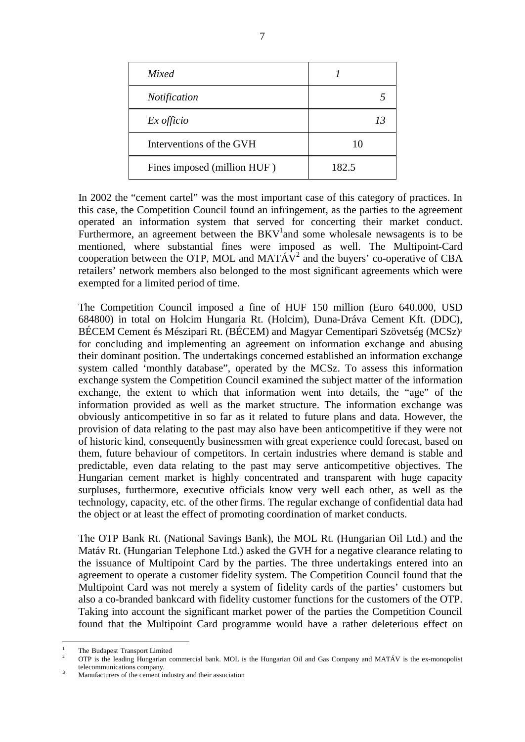| Mixed                       |       |
|-----------------------------|-------|
| <i>Notification</i>         |       |
| Ex officio                  | 13    |
| Interventions of the GVH    | 10    |
| Fines imposed (million HUF) | 182.5 |

In 2002 the "cement cartel" was the most important case of this category of practices. In this case, the Competition Council found an infringement, as the parties to the agreement operated an information system that served for concerting their market conduct. Furthermore, an agreement between the  $BKV<sup>1</sup>$  and some wholesale newsagents is to be mentioned, where substantial fines were imposed as well. The Multipoint-Card cooperation between the OTP, MOL and MATÁ $\dot{V}^2$  and the buyers' co-operative of CBA retailers' network members also belonged to the most significant agreements which were exempted for a limited period of time.

The Competition Council imposed a fine of HUF 150 million (Euro 640.000, USD 684800) in total on Holcim Hungaria Rt. (Holcim), Duna-Dráva Cement Kft. (DDC), BÉCEM Cement és Mészipari Rt. (BÉCEM) and Magyar Cementipari Szövetség (MCSz)<sup>3</sup> for concluding and implementing an agreement on information exchange and abusing their dominant position. The undertakings concerned established an information exchange system called 'monthly database", operated by the MCSz. To assess this information exchange system the Competition Council examined the subject matter of the information exchange, the extent to which that information went into details, the "age" of the information provided as well as the market structure. The information exchange was obviously anticompetitive in so far as it related to future plans and data. However, the provision of data relating to the past may also have been anticompetitive if they were not of historic kind, consequently businessmen with great experience could forecast, based on them, future behaviour of competitors. In certain industries where demand is stable and predictable, even data relating to the past may serve anticompetitive objectives. The Hungarian cement market is highly concentrated and transparent with huge capacity surpluses, furthermore, executive officials know very well each other, as well as the technology, capacity, etc. of the other firms. The regular exchange of confidential data had the object or at least the effect of promoting coordination of market conducts.

The OTP Bank Rt. (National Savings Bank), the MOL Rt. (Hungarian Oil Ltd.) and the Matáv Rt. (Hungarian Telephone Ltd.) asked the GVH for a negative clearance relating to the issuance of Multipoint Card by the parties. The three undertakings entered into an agreement to operate a customer fidelity system. The Competition Council found that the Multipoint Card was not merely a system of fidelity cards of the parties' customers but also a co-branded bankcard with fidelity customer functions for the customers of the OTP. Taking into account the significant market power of the parties the Competition Council found that the Multipoint Card programme would have a rather deleterious effect on

 $\overline{a}$ 

The Budapest Transport Limited

<sup>2</sup> OTP is the leading Hungarian commercial bank. MOL is the Hungarian Oil and Gas Company and MATÁV is the ex-monopolist telecommunications company.

Manufacturers of the cement industry and their association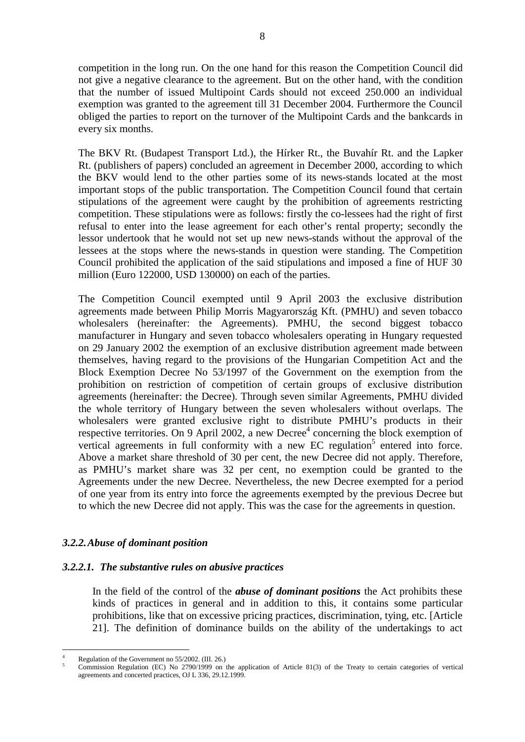competition in the long run. On the one hand for this reason the Competition Council did not give a negative clearance to the agreement. But on the other hand, with the condition that the number of issued Multipoint Cards should not exceed 250.000 an individual exemption was granted to the agreement till 31 December 2004. Furthermore the Council obliged the parties to report on the turnover of the Multipoint Cards and the bankcards in every six months.

The BKV Rt. (Budapest Transport Ltd.), the Hírker Rt., the Buvahír Rt. and the Lapker Rt. (publishers of papers) concluded an agreement in December 2000, according to which the BKV would lend to the other parties some of its news-stands located at the most important stops of the public transportation. The Competition Council found that certain stipulations of the agreement were caught by the prohibition of agreements restricting competition. These stipulations were as follows: firstly the co-lessees had the right of first refusal to enter into the lease agreement for each other's rental property; secondly the lessor undertook that he would not set up new news-stands without the approval of the lessees at the stops where the news-stands in question were standing. The Competition Council prohibited the application of the said stipulations and imposed a fine of HUF 30 million (Euro 122000, USD 130000) on each of the parties.

The Competition Council exempted until 9 April 2003 the exclusive distribution agreements made between Philip Morris Magyarország Kft. (PMHU) and seven tobacco wholesalers (hereinafter: the Agreements). PMHU, the second biggest tobacco manufacturer in Hungary and seven tobacco wholesalers operating in Hungary requested on 29 January 2002 the exemption of an exclusive distribution agreement made between themselves, having regard to the provisions of the Hungarian Competition Act and the Block Exemption Decree No 53/1997 of the Government on the exemption from the prohibition on restriction of competition of certain groups of exclusive distribution agreements (hereinafter: the Decree). Through seven similar Agreements, PMHU divided the whole territory of Hungary between the seven wholesalers without overlaps. The wholesalers were granted exclusive right to distribute PMHU's products in their respective territories. On 9 April 2002, a new Decree<sup>4</sup> concerning the block exemption of vertical agreements in full conformity with a new EC regulation<sup>5</sup> entered into force. Above a market share threshold of 30 per cent, the new Decree did not apply. Therefore, as PMHU's market share was 32 per cent, no exemption could be granted to the Agreements under the new Decree. Nevertheless, the new Decree exempted for a period of one year from its entry into force the agreements exempted by the previous Decree but to which the new Decree did not apply. This was the case for the agreements in question.

#### *3.2.2.Abuse of dominant position*

#### *3.2.2.1. The substantive rules on abusive practices*

In the field of the control of the *abuse of dominant positions* the Act prohibits these kinds of practices in general and in addition to this, it contains some particular prohibitions, like that on excessive pricing practices, discrimination, tying, etc. [Article 21]. The definition of dominance builds on the ability of the undertakings to act

 $\overline{a}$ 

Regulation of the Government no 55/2002. (III. 26.)

<sup>5</sup> Commission Regulation (EC) No 2790/1999 on the application of Article 81(3) of the Treaty to certain categories of vertical agreements and concerted practices, OJ L 336, 29.12.1999.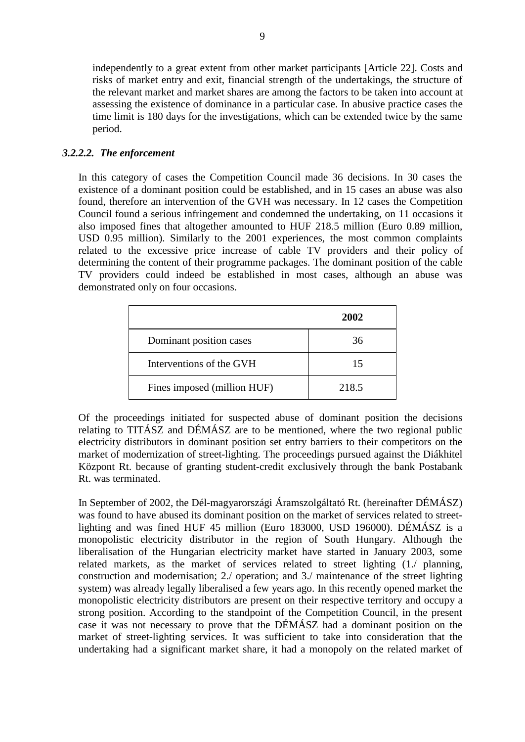independently to a great extent from other market participants [Article 22]. Costs and risks of market entry and exit, financial strength of the undertakings, the structure of the relevant market and market shares are among the factors to be taken into account at assessing the existence of dominance in a particular case. In abusive practice cases the time limit is 180 days for the investigations, which can be extended twice by the same period.

## *3.2.2.2. The enforcement*

In this category of cases the Competition Council made 36 decisions. In 30 cases the existence of a dominant position could be established, and in 15 cases an abuse was also found, therefore an intervention of the GVH was necessary. In 12 cases the Competition Council found a serious infringement and condemned the undertaking, on 11 occasions it also imposed fines that altogether amounted to HUF 218.5 million (Euro 0.89 million, USD 0.95 million). Similarly to the 2001 experiences, the most common complaints related to the excessive price increase of cable TV providers and their policy of determining the content of their programme packages. The dominant position of the cable TV providers could indeed be established in most cases, although an abuse was demonstrated only on four occasions.

|                             | 2002  |
|-----------------------------|-------|
| Dominant position cases     | 36    |
| Interventions of the GVH    | 15    |
| Fines imposed (million HUF) | 218.5 |

Of the proceedings initiated for suspected abuse of dominant position the decisions relating to TITÁSZ and DÉMÁSZ are to be mentioned, where the two regional public electricity distributors in dominant position set entry barriers to their competitors on the market of modernization of street-lighting. The proceedings pursued against the Diákhitel Központ Rt. because of granting student-credit exclusively through the bank Postabank Rt. was terminated.

In September of 2002, the Dél-magyarországi Áramszolgáltató Rt. (hereinafter DÉMÁSZ) was found to have abused its dominant position on the market of services related to streetlighting and was fined HUF 45 million (Euro 183000, USD 196000). DÉMÁSZ is a monopolistic electricity distributor in the region of South Hungary. Although the liberalisation of the Hungarian electricity market have started in January 2003, some related markets, as the market of services related to street lighting (1./ planning, construction and modernisation; 2./ operation; and 3./ maintenance of the street lighting system) was already legally liberalised a few years ago. In this recently opened market the monopolistic electricity distributors are present on their respective territory and occupy a strong position. According to the standpoint of the Competition Council, in the present case it was not necessary to prove that the DÉMÁSZ had a dominant position on the market of street-lighting services. It was sufficient to take into consideration that the undertaking had a significant market share, it had a monopoly on the related market of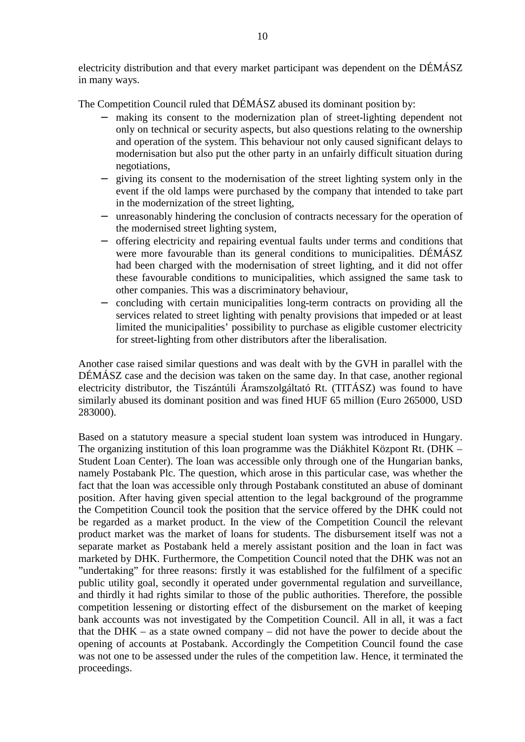electricity distribution and that every market participant was dependent on the DÉMÁSZ in many ways.

The Competition Council ruled that DÉMÁSZ abused its dominant position by:

- making its consent to the modernization plan of street-lighting dependent not only on technical or security aspects, but also questions relating to the ownership and operation of the system. This behaviour not only caused significant delays to modernisation but also put the other party in an unfairly difficult situation during negotiations,
- giving its consent to the modernisation of the street lighting system only in the event if the old lamps were purchased by the company that intended to take part in the modernization of the street lighting,
- unreasonably hindering the conclusion of contracts necessary for the operation of the modernised street lighting system,
- − offering electricity and repairing eventual faults under terms and conditions that were more favourable than its general conditions to municipalities. DÉMÁSZ had been charged with the modernisation of street lighting, and it did not offer these favourable conditions to municipalities, which assigned the same task to other companies. This was a discriminatory behaviour,
- − concluding with certain municipalities long-term contracts on providing all the services related to street lighting with penalty provisions that impeded or at least limited the municipalities' possibility to purchase as eligible customer electricity for street-lighting from other distributors after the liberalisation.

Another case raised similar questions and was dealt with by the GVH in parallel with the DÉMÁSZ case and the decision was taken on the same day. In that case, another regional electricity distributor, the Tiszántúli Áramszolgáltató Rt. (TITÁSZ) was found to have similarly abused its dominant position and was fined HUF 65 million (Euro 265000, USD 283000).

Based on a statutory measure a special student loan system was introduced in Hungary. The organizing institution of this loan programme was the Diákhitel Központ Rt. (DHK – Student Loan Center). The loan was accessible only through one of the Hungarian banks, namely Postabank Plc. The question, which arose in this particular case, was whether the fact that the loan was accessible only through Postabank constituted an abuse of dominant position. After having given special attention to the legal background of the programme the Competition Council took the position that the service offered by the DHK could not be regarded as a market product. In the view of the Competition Council the relevant product market was the market of loans for students. The disbursement itself was not a separate market as Postabank held a merely assistant position and the loan in fact was marketed by DHK. Furthermore, the Competition Council noted that the DHK was not an "undertaking" for three reasons: firstly it was established for the fulfilment of a specific public utility goal, secondly it operated under governmental regulation and surveillance, and thirdly it had rights similar to those of the public authorities. Therefore, the possible competition lessening or distorting effect of the disbursement on the market of keeping bank accounts was not investigated by the Competition Council. All in all, it was a fact that the DHK – as a state owned company – did not have the power to decide about the opening of accounts at Postabank. Accordingly the Competition Council found the case was not one to be assessed under the rules of the competition law. Hence, it terminated the proceedings.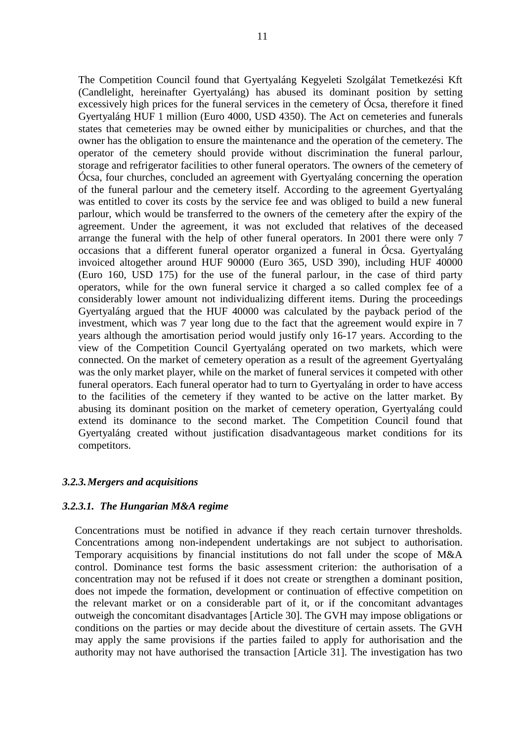The Competition Council found that Gyertyaláng Kegyeleti Szolgálat Temetkezési Kft (Candlelight, hereinafter Gyertyaláng) has abused its dominant position by setting excessively high prices for the funeral services in the cemetery of Ócsa, therefore it fined Gyertyaláng HUF 1 million (Euro 4000, USD 4350). The Act on cemeteries and funerals states that cemeteries may be owned either by municipalities or churches, and that the owner has the obligation to ensure the maintenance and the operation of the cemetery. The operator of the cemetery should provide without discrimination the funeral parlour, storage and refrigerator facilities to other funeral operators. The owners of the cemetery of Ócsa, four churches, concluded an agreement with Gyertyaláng concerning the operation of the funeral parlour and the cemetery itself. According to the agreement Gyertyaláng was entitled to cover its costs by the service fee and was obliged to build a new funeral parlour, which would be transferred to the owners of the cemetery after the expiry of the agreement. Under the agreement, it was not excluded that relatives of the deceased arrange the funeral with the help of other funeral operators. In 2001 there were only 7 occasions that a different funeral operator organized a funeral in Ócsa. Gyertyaláng invoiced altogether around HUF 90000 (Euro 365, USD 390), including HUF 40000 (Euro 160, USD 175) for the use of the funeral parlour, in the case of third party operators, while for the own funeral service it charged a so called complex fee of a considerably lower amount not individualizing different items. During the proceedings Gyertyaláng argued that the HUF 40000 was calculated by the payback period of the investment, which was 7 year long due to the fact that the agreement would expire in 7 years although the amortisation period would justify only 16-17 years. According to the view of the Competition Council Gyertyaláng operated on two markets, which were connected. On the market of cemetery operation as a result of the agreement Gyertyaláng was the only market player, while on the market of funeral services it competed with other funeral operators. Each funeral operator had to turn to Gyertyaláng in order to have access to the facilities of the cemetery if they wanted to be active on the latter market. By abusing its dominant position on the market of cemetery operation, Gyertyaláng could extend its dominance to the second market. The Competition Council found that Gyertyaláng created without justification disadvantageous market conditions for its competitors.

#### *3.2.3.Mergers and acquisitions*

#### *3.2.3.1. The Hungarian M&A regime*

Concentrations must be notified in advance if they reach certain turnover thresholds. Concentrations among non-independent undertakings are not subject to authorisation. Temporary acquisitions by financial institutions do not fall under the scope of M&A control. Dominance test forms the basic assessment criterion: the authorisation of a concentration may not be refused if it does not create or strengthen a dominant position, does not impede the formation, development or continuation of effective competition on the relevant market or on a considerable part of it, or if the concomitant advantages outweigh the concomitant disadvantages [Article 30]. The GVH may impose obligations or conditions on the parties or may decide about the divestiture of certain assets. The GVH may apply the same provisions if the parties failed to apply for authorisation and the authority may not have authorised the transaction [Article 31]. The investigation has two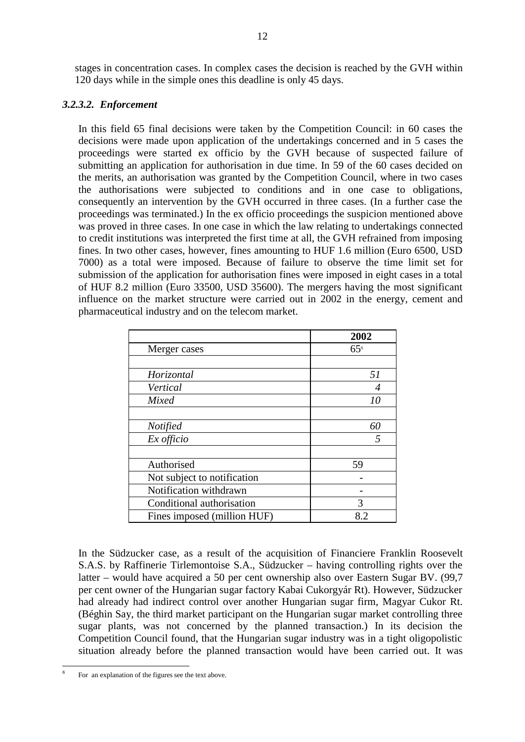stages in concentration cases. In complex cases the decision is reached by the GVH within 120 days while in the simple ones this deadline is only 45 days.

## *3.2.3.2. Enforcement*

In this field 65 final decisions were taken by the Competition Council: in 60 cases the decisions were made upon application of the undertakings concerned and in 5 cases the proceedings were started ex officio by the GVH because of suspected failure of submitting an application for authorisation in due time. In 59 of the 60 cases decided on the merits, an authorisation was granted by the Competition Council, where in two cases the authorisations were subjected to conditions and in one case to obligations, consequently an intervention by the GVH occurred in three cases. (In a further case the proceedings was terminated.) In the ex officio proceedings the suspicion mentioned above was proved in three cases. In one case in which the law relating to undertakings connected to credit institutions was interpreted the first time at all, the GVH refrained from imposing fines. In two other cases, however, fines amounting to HUF 1.6 million (Euro 6500, USD 7000) as a total were imposed. Because of failure to observe the time limit set for submission of the application for authorisation fines were imposed in eight cases in a total of HUF 8.2 million (Euro 33500, USD 35600). The mergers having the most significant influence on the market structure were carried out in 2002 in the energy, cement and pharmaceutical industry and on the telecom market.

|                             | 2002            |
|-----------------------------|-----------------|
| Merger cases                | 65 <sup>6</sup> |
|                             |                 |
| Horizontal                  | 51              |
| Vertical                    |                 |
| Mixed                       | 10              |
| Notified                    | 60              |
| Ex officio                  | 5               |
| Authorised                  | 59              |
| Not subject to notification |                 |
| Notification withdrawn      |                 |
| Conditional authorisation   | 3               |
| Fines imposed (million HUF) | 8.2             |

In the Südzucker case, as a result of the acquisition of Financiere Franklin Roosevelt S.A.S. by Raffinerie Tirlemontoise S.A., Südzucker – having controlling rights over the latter – would have acquired a 50 per cent ownership also over Eastern Sugar BV. (99,7 per cent owner of the Hungarian sugar factory Kabai Cukorgyár Rt). However, Südzucker had already had indirect control over another Hungarian sugar firm, Magyar Cukor Rt. (Béghin Say, the third market participant on the Hungarian sugar market controlling three sugar plants, was not concerned by the planned transaction.) In its decision the Competition Council found, that the Hungarian sugar industry was in a tight oligopolistic situation already before the planned transaction would have been carried out. It was

 $\overline{a}$ 6 For an explanation of the figures see the text above.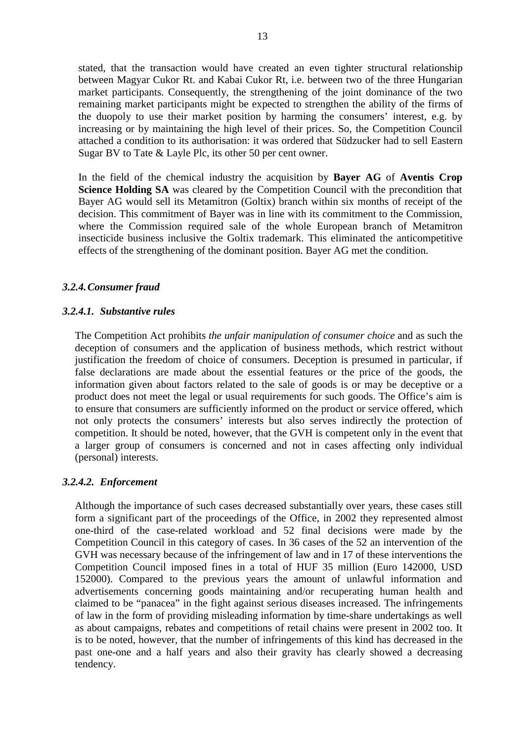stated, that the transaction would have created an even tighter structural relationship between Magyar Cukor Rt. and Kabai Cukor Rt, i.e. between two of the three Hungarian market participants. Consequently, the strengthening of the joint dominance of the two remaining market participants might be expected to strengthen the ability of the firms of the duopoly to use their market position by harming the consumers' interest, e.g. by increasing or by maintaining the high level of their prices. So, the Competition Council attached a condition to its authorisation: it was ordered that Südzucker had to sell Eastern Sugar BV to Tate & Layle Plc, its other 50 per cent owner.

In the field of the chemical industry the acquisition by **Bayer AG** of **Aventis Crop Science Holding SA** was cleared by the Competition Council with the precondition that Bayer AG would sell its Metamitron (Goltix) branch within six months of receipt of the decision. This commitment of Bayer was in line with its commitment to the Commission, where the Commission required sale of the whole European branch of Metamitron insecticide business inclusive the Goltix trademark. This eliminated the anticompetitive effects of the strengthening of the dominant position. Bayer AG met the condition.

#### *3.2.4.Consumer fraud*

#### *3.2.4.1. Substantive rules*

The Competition Act prohibits *the unfair manipulation of consumer choice* and as such the deception of consumers and the application of business methods, which restrict without justification the freedom of choice of consumers. Deception is presumed in particular, if false declarations are made about the essential features or the price of the goods, the information given about factors related to the sale of goods is or may be deceptive or a product does not meet the legal or usual requirements for such goods. The Office's aim is to ensure that consumers are sufficiently informed on the product or service offered, which not only protects the consumers' interests but also serves indirectly the protection of competition. It should be noted, however, that the GVH is competent only in the event that a larger group of consumers is concerned and not in cases affecting only individual (personal) interests.

#### *3.2.4.2. Enforcement*

Although the importance of such cases decreased substantially over years, these cases still form a significant part of the proceedings of the Office, in 2002 they represented almost one-third of the case-related workload and 52 final decisions were made by the Competition Council in this category of cases. In 36 cases of the 52 an intervention of the GVH was necessary because of the infringement of law and in 17 of these interventions the Competition Council imposed fines in a total of HUF 35 million (Euro 142000, USD 152000). Compared to the previous years the amount of unlawful information and advertisements concerning goods maintaining and/or recuperating human health and claimed to be "panacea" in the fight against serious diseases increased. The infringements of law in the form of providing misleading information by time-share undertakings as well as about campaigns, rebates and competitions of retail chains were present in 2002 too. It is to be noted, however, that the number of infringements of this kind has decreased in the past one-one and a half years and also their gravity has clearly showed a decreasing tendency.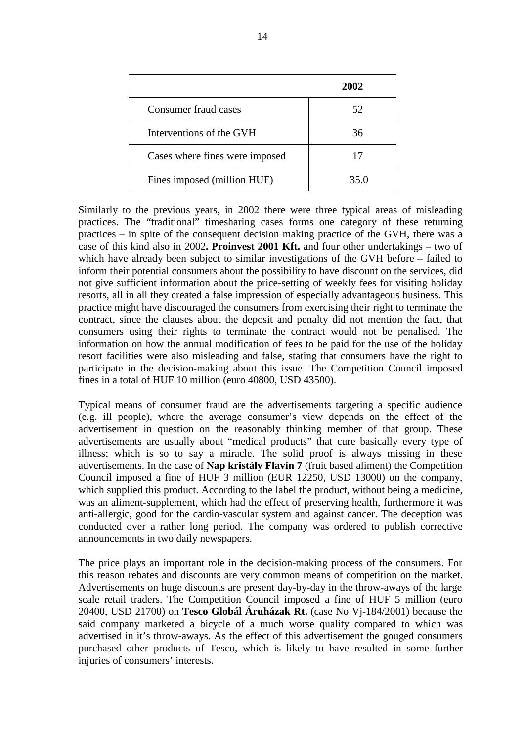|                                | 2002 |
|--------------------------------|------|
| Consumer fraud cases           | 52   |
| Interventions of the GVH       | 36   |
| Cases where fines were imposed |      |
| Fines imposed (million HUF)    | 35.0 |

Similarly to the previous years, in 2002 there were three typical areas of misleading practices. The "traditional" timesharing cases forms one category of these returning practices – in spite of the consequent decision making practice of the GVH, there was a case of this kind also in 2002**. Proinvest 2001 Kft.** and four other undertakings – two of which have already been subject to similar investigations of the GVH before – failed to inform their potential consumers about the possibility to have discount on the services, did not give sufficient information about the price-setting of weekly fees for visiting holiday resorts, all in all they created a false impression of especially advantageous business. This practice might have discouraged the consumers from exercising their right to terminate the contract, since the clauses about the deposit and penalty did not mention the fact, that consumers using their rights to terminate the contract would not be penalised. The information on how the annual modification of fees to be paid for the use of the holiday resort facilities were also misleading and false, stating that consumers have the right to participate in the decision-making about this issue. The Competition Council imposed fines in a total of HUF 10 million (euro 40800, USD 43500).

Typical means of consumer fraud are the advertisements targeting a specific audience (e.g. ill people), where the average consumer's view depends on the effect of the advertisement in question on the reasonably thinking member of that group. These advertisements are usually about "medical products" that cure basically every type of illness; which is so to say a miracle. The solid proof is always missing in these advertisements. In the case of **Nap kristály Flavin 7** (fruit based aliment) the Competition Council imposed a fine of HUF 3 million (EUR 12250, USD 13000) on the company, which supplied this product. According to the label the product, without being a medicine, was an aliment-supplement, which had the effect of preserving health, furthermore it was anti-allergic, good for the cardio-vascular system and against cancer. The deception was conducted over a rather long period. The company was ordered to publish corrective announcements in two daily newspapers.

The price plays an important role in the decision-making process of the consumers. For this reason rebates and discounts are very common means of competition on the market. Advertisements on huge discounts are present day-by-day in the throw-aways of the large scale retail traders. The Competition Council imposed a fine of HUF 5 million (euro 20400, USD 21700) on **Tesco Globál Áruházak Rt.** (case No Vj-184/2001) because the said company marketed a bicycle of a much worse quality compared to which was advertised in it's throw-aways. As the effect of this advertisement the gouged consumers purchased other products of Tesco, which is likely to have resulted in some further injuries of consumers' interests.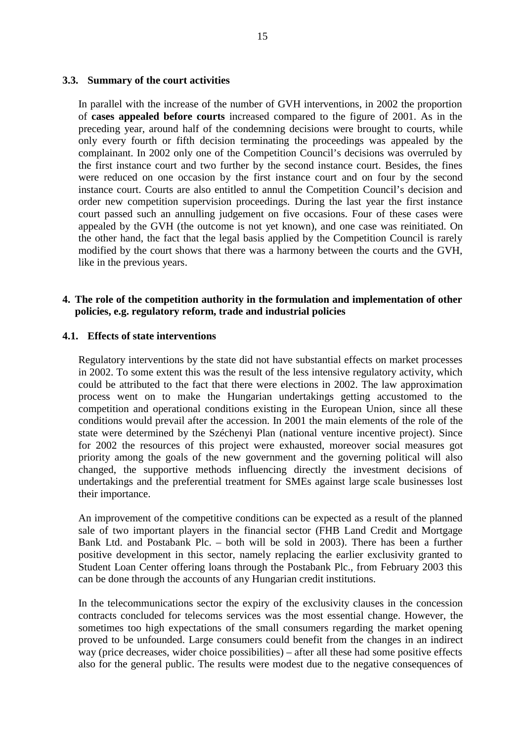#### **3.3. Summary of the court activities**

In parallel with the increase of the number of GVH interventions, in 2002 the proportion of **cases appealed before courts** increased compared to the figure of 2001. As in the preceding year, around half of the condemning decisions were brought to courts, while only every fourth or fifth decision terminating the proceedings was appealed by the complainant. In 2002 only one of the Competition Council's decisions was overruled by the first instance court and two further by the second instance court. Besides, the fines were reduced on one occasion by the first instance court and on four by the second instance court. Courts are also entitled to annul the Competition Council's decision and order new competition supervision proceedings. During the last year the first instance court passed such an annulling judgement on five occasions. Four of these cases were appealed by the GVH (the outcome is not yet known), and one case was reinitiated. On the other hand, the fact that the legal basis applied by the Competition Council is rarely modified by the court shows that there was a harmony between the courts and the GVH, like in the previous years.

#### **4. The role of the competition authority in the formulation and implementation of other policies, e.g. regulatory reform, trade and industrial policies**

#### **4.1. Effects of state interventions**

Regulatory interventions by the state did not have substantial effects on market processes in 2002. To some extent this was the result of the less intensive regulatory activity, which could be attributed to the fact that there were elections in 2002. The law approximation process went on to make the Hungarian undertakings getting accustomed to the competition and operational conditions existing in the European Union, since all these conditions would prevail after the accession. In 2001 the main elements of the role of the state were determined by the Széchenyi Plan (national venture incentive project). Since for 2002 the resources of this project were exhausted, moreover social measures got priority among the goals of the new government and the governing political will also changed, the supportive methods influencing directly the investment decisions of undertakings and the preferential treatment for SMEs against large scale businesses lost their importance.

An improvement of the competitive conditions can be expected as a result of the planned sale of two important players in the financial sector (FHB Land Credit and Mortgage Bank Ltd. and Postabank Plc. – both will be sold in 2003). There has been a further positive development in this sector, namely replacing the earlier exclusivity granted to Student Loan Center offering loans through the Postabank Plc., from February 2003 this can be done through the accounts of any Hungarian credit institutions.

In the telecommunications sector the expiry of the exclusivity clauses in the concession contracts concluded for telecoms services was the most essential change. However, the sometimes too high expectations of the small consumers regarding the market opening proved to be unfounded. Large consumers could benefit from the changes in an indirect way (price decreases, wider choice possibilities) – after all these had some positive effects also for the general public. The results were modest due to the negative consequences of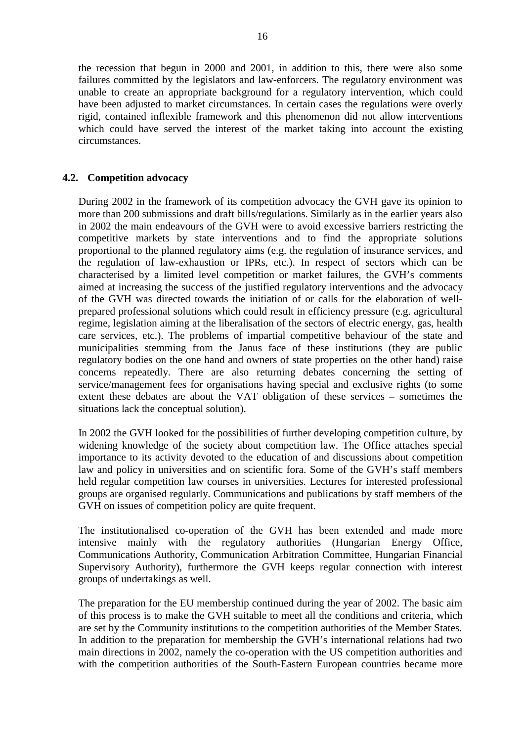the recession that begun in 2000 and 2001, in addition to this, there were also some failures committed by the legislators and law-enforcers. The regulatory environment was unable to create an appropriate background for a regulatory intervention, which could have been adjusted to market circumstances. In certain cases the regulations were overly rigid, contained inflexible framework and this phenomenon did not allow interventions which could have served the interest of the market taking into account the existing circumstances.

## **4.2. Competition advocacy**

During 2002 in the framework of its competition advocacy the GVH gave its opinion to more than 200 submissions and draft bills/regulations. Similarly as in the earlier years also in 2002 the main endeavours of the GVH were to avoid excessive barriers restricting the competitive markets by state interventions and to find the appropriate solutions proportional to the planned regulatory aims (e.g. the regulation of insurance services, and the regulation of law-exhaustion or IPRs, etc.). In respect of sectors which can be characterised by a limited level competition or market failures, the GVH's comments aimed at increasing the success of the justified regulatory interventions and the advocacy of the GVH was directed towards the initiation of or calls for the elaboration of wellprepared professional solutions which could result in efficiency pressure (e.g. agricultural regime, legislation aiming at the liberalisation of the sectors of electric energy, gas, health care services, etc.). The problems of impartial competitive behaviour of the state and municipalities stemming from the Janus face of these institutions (they are public regulatory bodies on the one hand and owners of state properties on the other hand) raise concerns repeatedly. There are also returning debates concerning the setting of service/management fees for organisations having special and exclusive rights (to some extent these debates are about the VAT obligation of these services – sometimes the situations lack the conceptual solution).

In 2002 the GVH looked for the possibilities of further developing competition culture, by widening knowledge of the society about competition law. The Office attaches special importance to its activity devoted to the education of and discussions about competition law and policy in universities and on scientific fora. Some of the GVH's staff members held regular competition law courses in universities. Lectures for interested professional groups are organised regularly. Communications and publications by staff members of the GVH on issues of competition policy are quite frequent.

The institutionalised co-operation of the GVH has been extended and made more intensive mainly with the regulatory authorities (Hungarian Energy Office, Communications Authority, Communication Arbitration Committee, Hungarian Financial Supervisory Authority), furthermore the GVH keeps regular connection with interest groups of undertakings as well.

The preparation for the EU membership continued during the year of 2002. The basic aim of this process is to make the GVH suitable to meet all the conditions and criteria, which are set by the Community institutions to the competition authorities of the Member States. In addition to the preparation for membership the GVH's international relations had two main directions in 2002, namely the co-operation with the US competition authorities and with the competition authorities of the South-Eastern European countries became more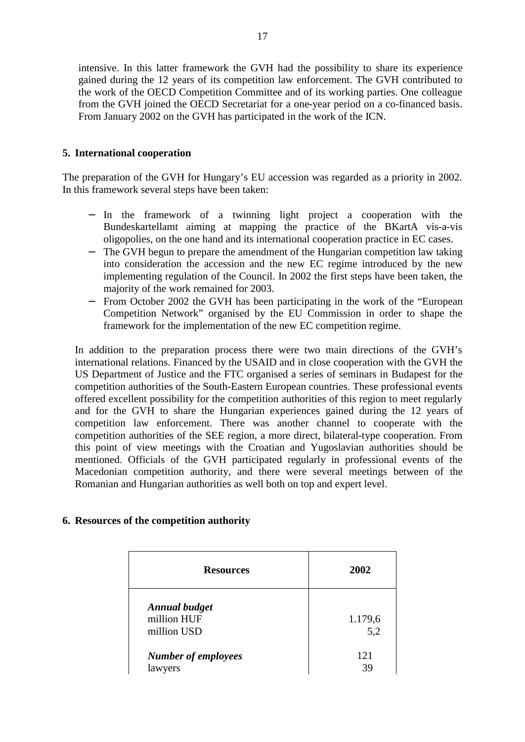intensive. In this latter framework the GVH had the possibility to share its experience gained during the 12 years of its competition law enforcement. The GVH contributed to the work of the OECD Competition Committee and of its working parties. One colleague from the GVH joined the OECD Secretariat for a one-year period on a co-financed basis. From January 2002 on the GVH has participated in the work of the ICN.

## **5. International cooperation**

The preparation of the GVH for Hungary's EU accession was regarded as a priority in 2002. In this framework several steps have been taken:

- − In the framework of a twinning light project a cooperation with the Bundeskartellamt aiming at mapping the practice of the BKartA vis-a-vis oligopolies, on the one hand and its international cooperation practice in EC cases.
- − The GVH begun to prepare the amendment of the Hungarian competition law taking into consideration the accession and the new EC regime introduced by the new implementing regulation of the Council. In 2002 the first steps have been taken, the majority of the work remained for 2003.
- From October 2002 the GVH has been participating in the work of the "European Competition Network" organised by the EU Commission in order to shape the framework for the implementation of the new EC competition regime.

In addition to the preparation process there were two main directions of the GVH's international relations. Financed by the USAID and in close cooperation with the GVH the US Department of Justice and the FTC organised a series of seminars in Budapest for the competition authorities of the South-Eastern European countries. These professional events offered excellent possibility for the competition authorities of this region to meet regularly and for the GVH to share the Hungarian experiences gained during the 12 years of competition law enforcement. There was another channel to cooperate with the competition authorities of the SEE region, a more direct, bilateral-type cooperation. From this point of view meetings with the Croatian and Yugoslavian authorities should be mentioned. Officials of the GVH participated regularly in professional events of the Macedonian competition authority, and there were several meetings between of the Romanian and Hungarian authorities as well both on top and expert level.

| <b>Resources</b>                                   | 2002           |
|----------------------------------------------------|----------------|
| <b>Annual budget</b><br>million HUF<br>million USD | 1.179,6<br>5,2 |
| <b>Number of employees</b><br>lawyers              | 121<br>39      |

#### **6. Resources of the competition authority**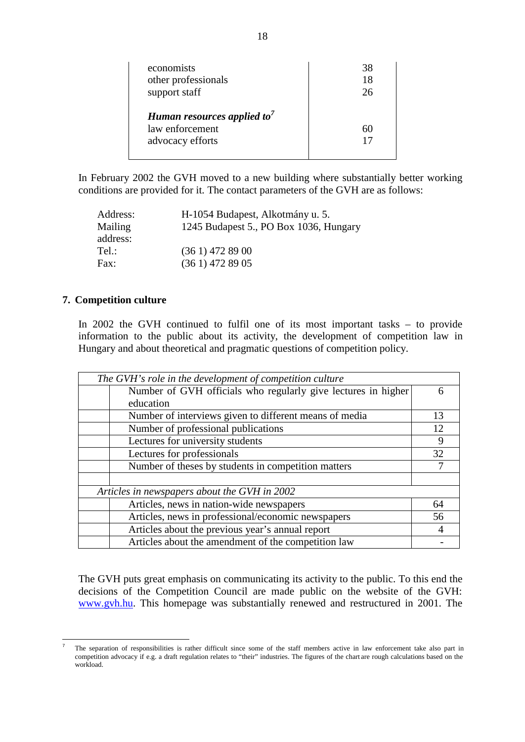| 38<br>18 |
|----------|
| 26       |
|          |
| 60       |
|          |
|          |

In February 2002 the GVH moved to a new building where substantially better working conditions are provided for it. The contact parameters of the GVH are as follows:

| Address: | H-1054 Budapest, Alkotmány u. 5.       |
|----------|----------------------------------------|
| Mailing  | 1245 Budapest 5., PO Box 1036, Hungary |
| address: |                                        |
| Tel.:    | $(361)$ 472 89 00                      |
| Fax:     | $(361)$ 472 89 05                      |

#### **7. Competition culture**

 $\overline{a}$ 

In 2002 the GVH continued to fulfil one of its most important tasks – to provide information to the public about its activity, the development of competition law in Hungary and about theoretical and pragmatic questions of competition policy.

| The GVH's role in the development of competition culture      |    |
|---------------------------------------------------------------|----|
| Number of GVH officials who regularly give lectures in higher |    |
| education                                                     |    |
| Number of interviews given to different means of media        | 13 |
| Number of professional publications                           | 12 |
| Lectures for university students                              | 9  |
| Lectures for professionals                                    | 32 |
| Number of theses by students in competition matters           |    |
|                                                               |    |
| Articles in newspapers about the GVH in 2002                  |    |
| Articles, news in nation-wide newspapers                      | 64 |
| Articles, news in professional/economic newspapers            | 56 |
| Articles about the previous year's annual report              |    |
| Articles about the amendment of the competition law           |    |

The GVH puts great emphasis on communicating its activity to the public. To this end the decisions of the Competition Council are made public on the website of the GVH: www.gvh.hu. This homepage was substantially renewed and restructured in 2001. The

<sup>7</sup> The separation of responsibilities is rather difficult since some of the staff members active in law enforcement take also part in competition advocacy if e.g. a draft regulation relates to "their" industries. The figures of the chart are rough calculations based on the workload.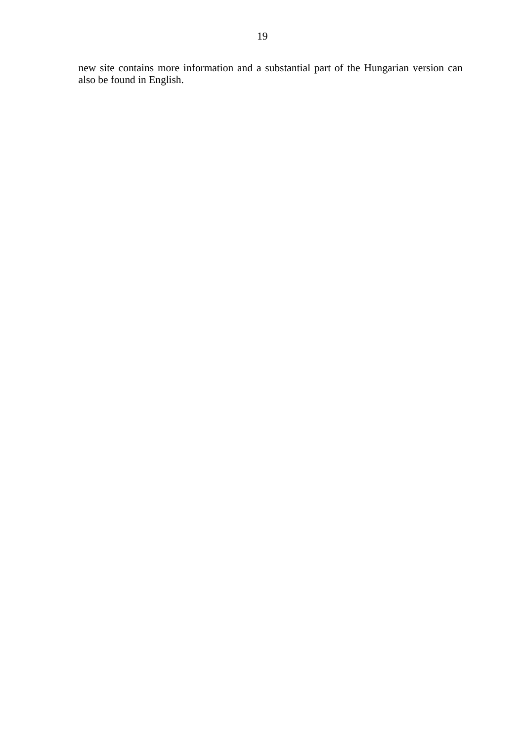new site contains more information and a substantial part of the Hungarian version can also be found in English.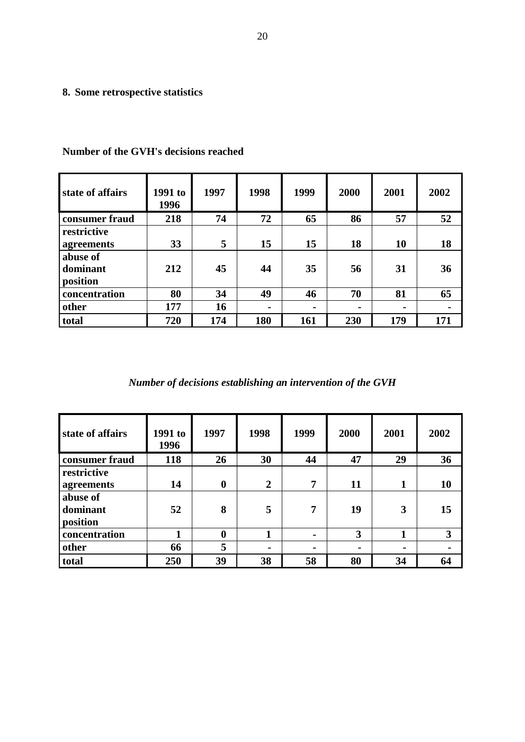# **8. Some retrospective statistics**

| state of affairs                 | 1991 to<br>1996 | 1997 | 1998 | 1999           | 2000 | 2001           | 2002 |
|----------------------------------|-----------------|------|------|----------------|------|----------------|------|
| consumer fraud                   | 218             | 74   | 72   | 65             | 86   | 57             | 52   |
| restrictive<br>agreements        | 33              | 5    | 15   | 15             | 18   | 10             | 18   |
| abuse of<br>dominant<br>position | 212             | 45   | 44   | 35             | 56   | 31             | 36   |
| concentration                    | 80              | 34   | 49   | 46             | 70   | 81             | 65   |
| other                            | 177             | 16   |      | $\blacksquare$ |      | $\blacksquare$ |      |
| total                            | 720             | 174  | 180  | 161            | 230  | 179            | 171  |

# **Number of the GVH's decisions reached**

*Number of decisions establishing an intervention of the GVH*

| state of affairs                                  | 1991 to<br>1996 | 1997                  | 1998                | 1999                             | 2000           | 2001           | 2002     |
|---------------------------------------------------|-----------------|-----------------------|---------------------|----------------------------------|----------------|----------------|----------|
| consumer fraud                                    | 118             | 26                    | 30                  | 44                               | 47             | 29             | 36       |
| restrictive<br>agreements<br>abuse of<br>dominant | 14<br>52        | $\boldsymbol{0}$<br>8 | $\overline{2}$<br>5 | $\overline{7}$<br>$\overline{7}$ | 11<br>19       | 1<br>3         | 10<br>15 |
| position<br>concentration                         |                 | $\boldsymbol{0}$      |                     |                                  | 3              | 1              | 3        |
| other                                             | 66              | 5                     | $\blacksquare$      | ۰                                | $\blacksquare$ | $\blacksquare$ |          |
| total                                             | 250             | 39                    | 38                  | 58                               | 80             | 34             | 64       |